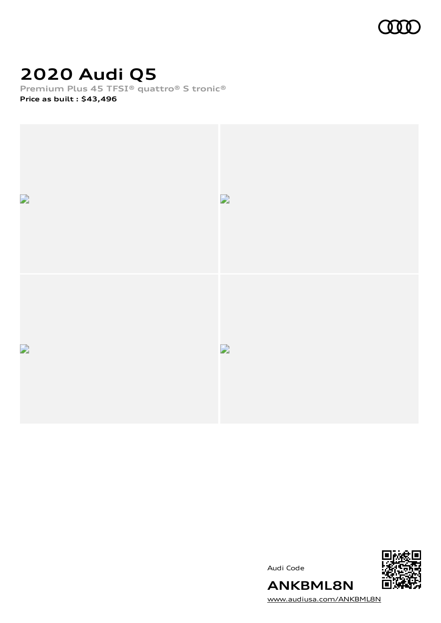

# **2020 Audi Q5**

**Premium Plus 45 TFSI® quattro® S tronic®**

**Price as built [:](#page-7-0) \$43,496**



Audi Code



[www.audiusa.com/ANKBML8N](https://www.audiusa.com/ANKBML8N)

**ANKBML8N**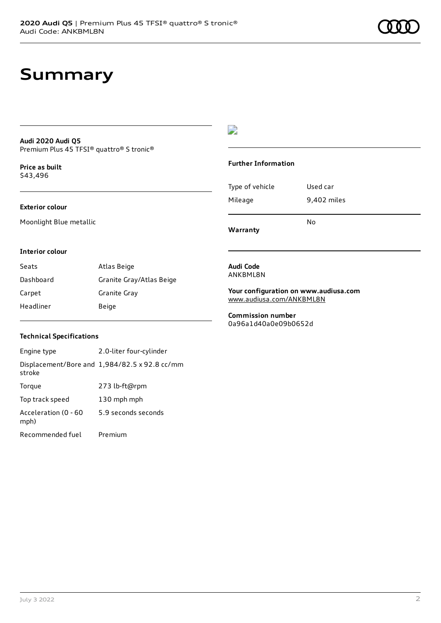### **Summary**

#### **Audi 2020 Audi Q5** Premium Plus 45 TFSI® quattro® S tronic®

**Price as buil[t](#page-7-0)** \$43,496

### **Exterior colour**

Moonlight Blue metallic

### $\overline{\phantom{a}}$

#### **Further Information**

| Type of vehicle | Used car    |  |
|-----------------|-------------|--|
| Mileage         | 9,402 miles |  |
|                 | No          |  |

**Warranty**

#### **Interior colour**

| Seats     | Atlas Beige              |
|-----------|--------------------------|
| Dashboard | Granite Gray/Atlas Beige |
| Carpet    | Granite Gray             |
| Headliner | Beige                    |

#### **Audi Code** ANKBML8N

**Your configuration on www.audiusa.com** [www.audiusa.com/ANKBML8N](https://www.audiusa.com/ANKBML8N)

**Commission number** 0a96a1d40a0e09b0652d

### **Technical Specifications**

| Engine type                  | 2.0-liter four-cylinder                       |
|------------------------------|-----------------------------------------------|
| stroke                       | Displacement/Bore and 1,984/82.5 x 92.8 cc/mm |
| Torque                       | 273 lb-ft@rpm                                 |
| Top track speed              | 130 mph mph                                   |
| Acceleration (0 - 60<br>mph) | 5.9 seconds seconds                           |
| Recommended fuel             | Premium                                       |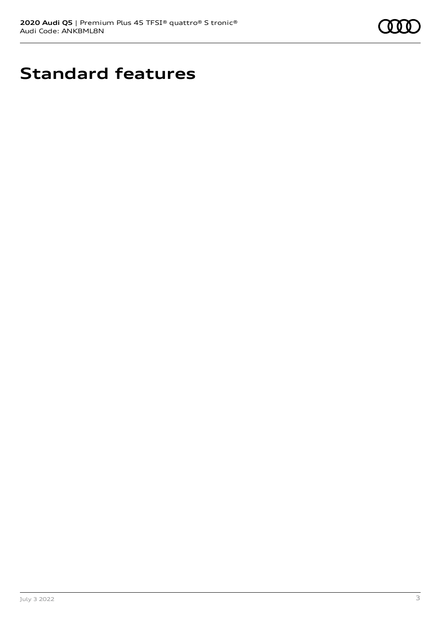

# **Standard features**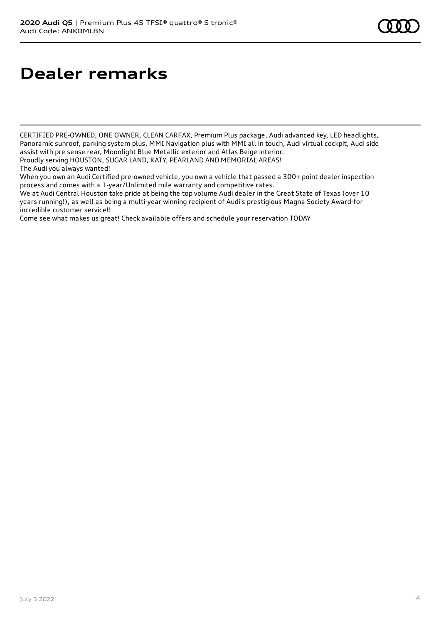# **Dealer remarks**

CERTIFIED PRE-OWNED, ONE OWNER, CLEAN CARFAX, Premium Plus package, Audi advanced key, LED headlights, Panoramic sunroof, parking system plus, MMI Navigation plus with MMI all in touch, Audi virtual cockpit, Audi side assist with pre sense rear, Moonlight Blue Metallic exterior and Atlas Beige interior.

Proudly serving HOUSTON, SUGAR LAND, KATY, PEARLAND AND MEMORIAL AREAS!

When you own an Audi Certified pre-owned vehicle, you own a vehicle that passed a 300+ point dealer inspection process and comes with a 1-year/Unlimited mile warranty and competitive rates.

We at Audi Central Houston take pride at being the top volume Audi dealer in the Great State of Texas (over 10 years running!), as well as being a multi-year winning recipient of Audi's prestigious Magna Society Award-for incredible customer service!!

Come see what makes us great! Check available offers and schedule your reservation TODAY

The Audi you always wanted!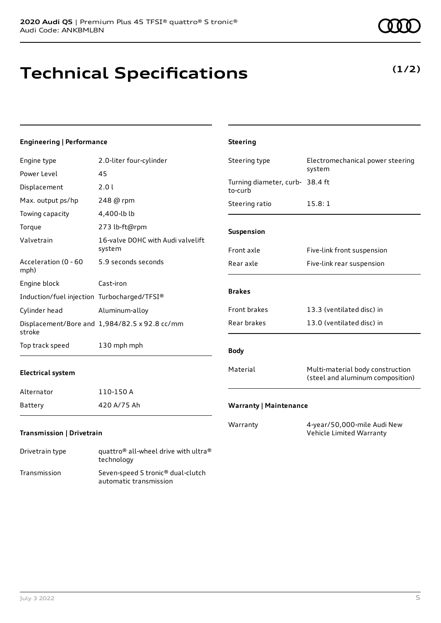## **Technical Specifications**

technology Transmission Seven-speed S tronic® dual-clutch

automatic transmission

### **Engineering | Performance**

| Engine type                                 | 2.0-liter four-cylinder                                      | Steering type                              | Electromechanical power steering                                     |
|---------------------------------------------|--------------------------------------------------------------|--------------------------------------------|----------------------------------------------------------------------|
| Power Level                                 | 45                                                           |                                            | system                                                               |
| Displacement                                | 2.0 l                                                        | Turning diameter, curb- 38.4 ft<br>to-curb |                                                                      |
| Max. output ps/hp                           | 248 @ rpm                                                    | Steering ratio                             | 15.8:1                                                               |
| Towing capacity                             | 4,400-lb lb                                                  |                                            |                                                                      |
| Torque                                      | 273 lb-ft@rpm                                                | Suspension                                 |                                                                      |
| Valvetrain                                  | 16-valve DOHC with Audi valvelift<br>system                  | Front axle                                 | Five-link front suspension                                           |
| Acceleration (0 - 60<br>mph)                | 5.9 seconds seconds                                          | Rear axle                                  | Five-link rear suspension                                            |
| Engine block                                | Cast-iron                                                    |                                            |                                                                      |
| Induction/fuel injection Turbocharged/TFSI® |                                                              | <b>Brakes</b>                              |                                                                      |
| Cylinder head                               | Aluminum-alloy                                               | Front brakes                               | 13.3 (ventilated disc) in                                            |
| stroke                                      | Displacement/Bore and 1,984/82.5 x 92.8 cc/mm                | Rear brakes                                | 13.0 (ventilated disc) in                                            |
| Top track speed                             | 130 mph mph                                                  | <b>Body</b>                                |                                                                      |
| <b>Electrical system</b>                    |                                                              | Material                                   | Multi-material body construction<br>(steel and aluminum composition) |
| Alternator                                  | 110-150 A                                                    |                                            |                                                                      |
| Battery                                     | 420 A/75 Ah                                                  | <b>Warranty   Maintenance</b>              |                                                                      |
| <b>Transmission   Drivetrain</b>            |                                                              | Warranty                                   | 4-year/50,000-mile Audi New<br>Vehicle Limited Warranty              |
| Drivetrain type                             | quattro <sup>®</sup> all-wheel drive with ultra <sup>®</sup> |                                            |                                                                      |

**Steering**

### **(1/2)**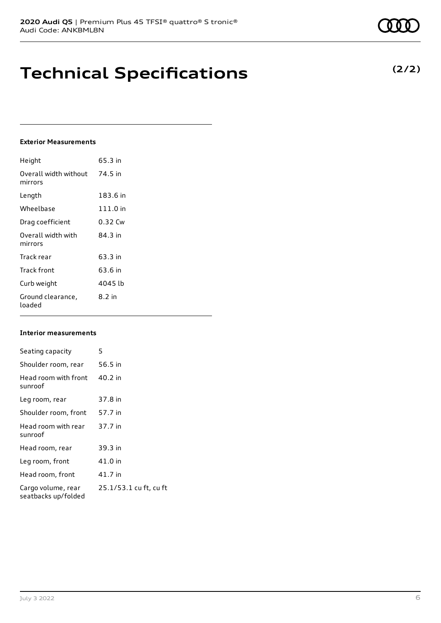### **Technical Specifications**

### **Exterior Measurements**

| Height                           | 65.3 in    |
|----------------------------------|------------|
| Overall width without<br>mirrors | 74.5 in    |
| Length                           | 183.6 in   |
| Wheelbase                        | $111.0$ in |
| Drag coefficient                 | 0.32 Cw    |
| Overall width with<br>mirrors    | 84.3 in    |
| Track rear                       | 63.3 in    |
| Track front                      | 63.6 in    |
| Curb weight                      | 4045 lb    |
| Ground clearance,<br>loaded      | 8.2 in     |

#### **Interior measurements**

| Seating capacity                          | 5                      |
|-------------------------------------------|------------------------|
| Shoulder room, rear                       | 56.5 in                |
| Head room with front<br>sunroof           | 40.2 in                |
| Leg room, rear                            | 37.8 in                |
| Shoulder room, front                      | 57.7 in                |
| Head room with rear<br>sunroof            | 37.7 in                |
| Head room, rear                           | 39.3 in                |
| Leg room, front                           | 41.0 in                |
| Head room, front                          | 41.7 in                |
| Cargo volume, rear<br>seatbacks up/folded | 25.1/53.1 cu ft, cu ft |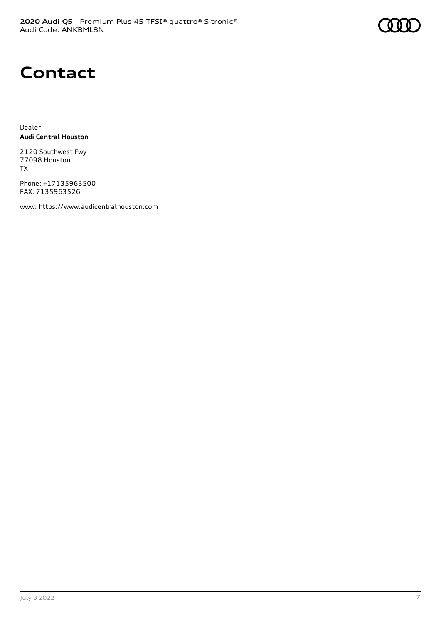### **Contact**

Dealer **Audi Central Houston**

2120 Southwest Fwy 77098 Houston TX

Phone: +17135963500 FAX: 7135963526

www: [https://www.audicentralhouston.com](https://www.audicentralhouston.com/)